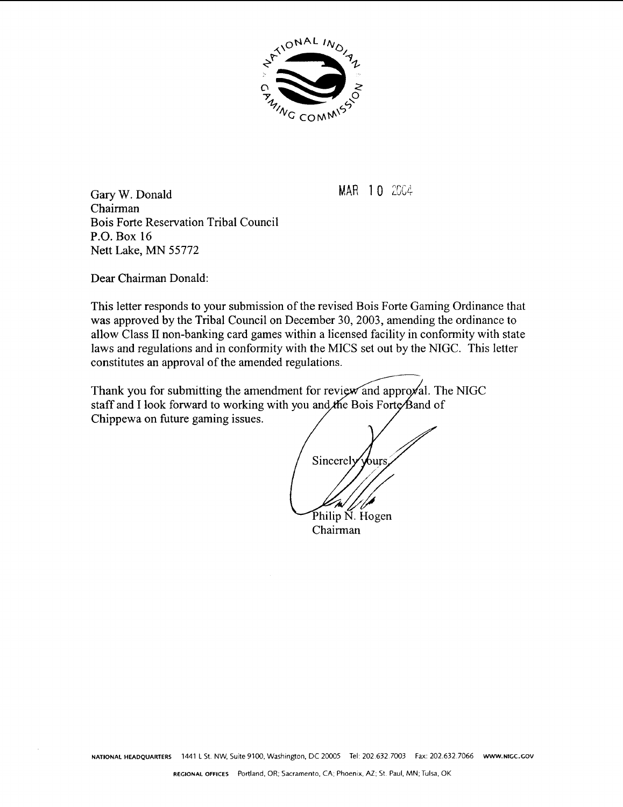

**MAR 10** 2004

Gary W. Donald Chairman Bois Forte Reservation Tribal Council P.O. Box 16 Nett Lake, MN 55772

Dear Chairman Donald:

This letter responds to your submission of the revised Bois Forte Gaming Ordinance that was approved by the Tribal Council on December 30,2003, amending the ordinance to allow Class I1 non-banking card games within a licensed facility in conformity with state laws and regulations and in conformity with the MICS set out by the NIGC. This letter constitutes an approval of the amended regulations.

Thank you for submitting the amendment for review and approval. The NIGC staff and I look forward to working with you and the Bois Forte Band of Chippewa on future gaming issues.

Sincerely hurs Philip N. Hogen Chairman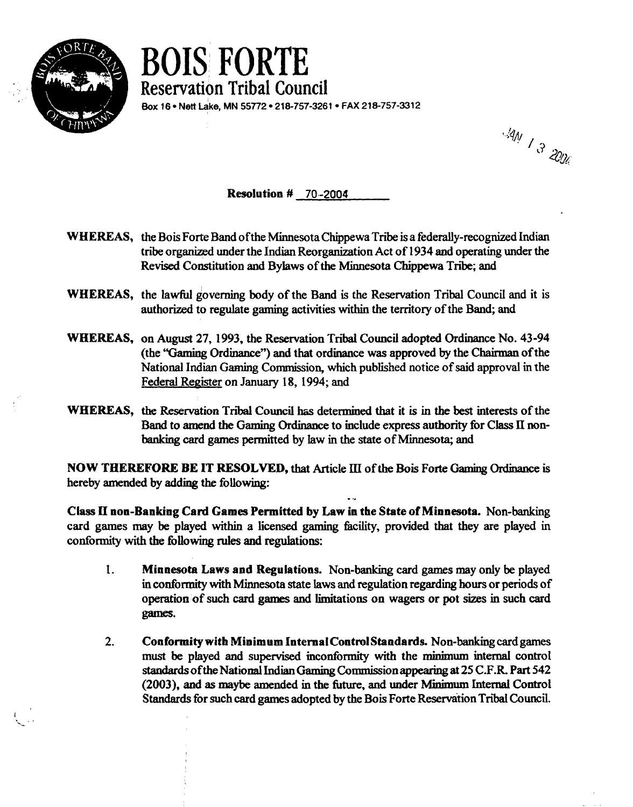

. . **Reservation** BOIS FORTE **Tribal Council**  Box 16 · Nett Lake, MN 55772 · 218-757-3261 · FAX 218-757-3312

14N 1 3 2006

**Resolution** # **70.-2004** 

- **WHEREAS,** the Bois Forte Band ofthe Minnesota **Chippewa** Tribe is a federally-recognized Indian tribe organized under the Indian Reorganization Act of 1934 and operating under the Revised Constitution and Bylaws of the Minnesota Chippewa Tribe: and
- **WHEREAS,** the lawful governing body of the Band is the Reservation Tribal Council and it is authorized to regulate gaming activities within the territory of the Band; and
- **WHEREAS, on August 27, 1993, the Reservation Tribal Council adopted Ordinance No. 43-94** (the "Gaming Ordinance") and that ordinance was approved by the Chairman of the National Indian **Gaming** Commission, which published notice of said approval in the Federal Register on **January** 18, 1994; and
- WHEREAS, the Reservation Tribal Council has determined that it is in the best interests of the Band to amend the Gaming **Ordinance** to include express authority for Class **KI** non**banking** card games permitted by law in the state of Minnesota; and

**NOW THEREFORE BE IT RESOLVED,** that Article **III** of the **Bois** Forte Gaming Ordinance is hereby amended by adding the following: - ..

**Class II non-Banking Card Games Permitted by Law in the State of Minnesota.** Non-banking card games **may** be played **witbin** a licensed gaming hcility, provided that they are played in conformity with the following **rules** and regulations:

- **1. Minnesota Laws and Regulations.** Non-banking card games **may** only **be** played in conformity with Minnesota state laws and regulation regarding **hours** or periods of operation of such card **games** and limitations on wagers or pot sizes in such card games.
- **2. Conformity with Minimum InternalContmlStandards.** Non-banking cardgames **must** be played and supervised inconformity with the **minimum** internal control **standards** ofthe **National** Indian *Gaming* Commission appearing at 25 **C.F.R** Part 542 (2003), and as maybe amended in the future, and under Minimum Internal Control Standards for such card games adopted by the Bois Forte Reservation Tribal Council.